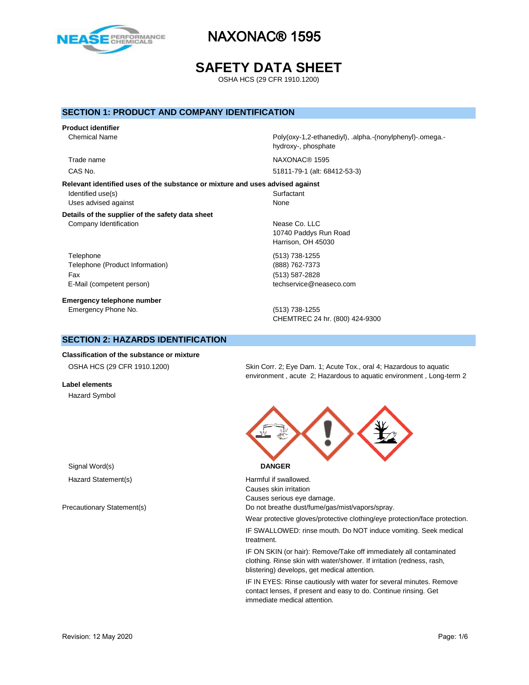

# **SAFETY DATA SHEET**

OSHA HCS (29 CFR 1910.1200)

### **SECTION 1: PRODUCT AND COMPANY IDENTIFICATION**

# **Product identifier**

**Relevant identified uses of the substance or mixture and uses advised against** Identified use(s) Surfactant Uses advised against None

#### **Details of the supplier of the safety data sheet** Company Identification **Nease Co.** LLC

Telephone (513) 738-1255 Telephone (Product Information) (888) 762-7373 Fax (513) 587-2828

**Emergency telephone number** Emergency Phone No. (513) 738-1255

Chemical Name **Poly(oxy-1,2-ethanediyl)**, .alpha.-(nonylphenyl)-.omega.hydroxy-, phosphate

Trade name NAXONAC® 1595

CAS No. 51811-79-1 (alt: 68412-53-3)

10740 Paddys Run Road Harrison, OH 45030

E-Mail (competent person) example a second techservice@neaseco.com

CHEMTREC 24 hr. (800) 424-9300

# **SECTION 2: HAZARDS IDENTIFICATION**

**Classification of the substance or mixture**

**Label elements** Hazard Symbol

OSHA HCS (29 CFR 1910.1200) Skin Corr. 2; Eye Dam. 1; Acute Tox., oral 4; Hazardous to aquatic environment , acute 2; Hazardous to aquatic environment , Long-term 2



Hazard Statement(s) example a metal of the Harmful if swallowed. Causes skin irritation Causes serious eye damage. Precautionary Statement(s) example and the Do not breathe dust/fume/gas/mist/vapors/spray.

Wear protective gloves/protective clothing/eye protection/face protection.

IF SWALLOWED: rinse mouth. Do NOT induce vomiting. Seek medical treatment.

IF ON SKIN (or hair): Remove/Take off immediately all contaminated clothing. Rinse skin with water/shower. If irritation (redness, rash, blistering) develops, get medical attention.

IF IN EYES: Rinse cautiously with water for several minutes. Remove contact lenses, if present and easy to do. Continue rinsing. Get immediate medical attention.

Signal Word(s) **DANGER**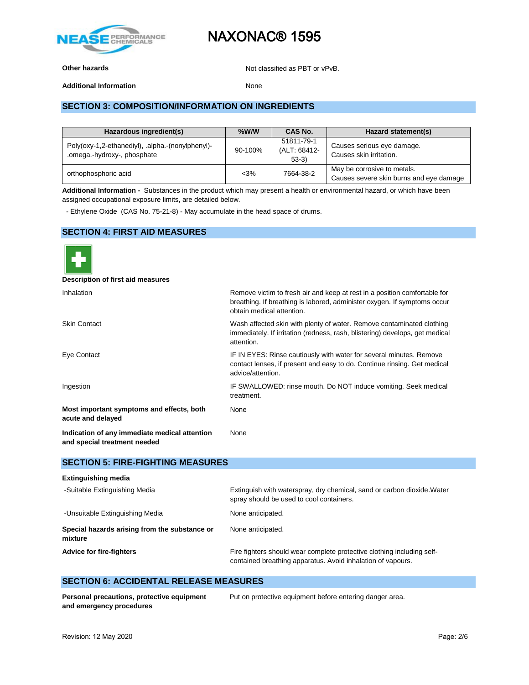

**Other hazards Other hazards Not classified as PBT or vPvB.** 

**Additional Information** None

# **SECTION 3: COMPOSITION/INFORMATION ON INGREDIENTS**

| Hazardous ingredient(s)                                                         | $%$ W/W | CAS No.                               | Hazard statement(s)                                                    |
|---------------------------------------------------------------------------------|---------|---------------------------------------|------------------------------------------------------------------------|
| Poly(oxy-1,2-ethanediyl), .alpha.-(nonylphenyl)-<br>.omega.-hydroxy-, phosphate | 90-100% | 51811-79-1<br>(ALT: 68412-<br>$53-3)$ | Causes serious eye damage.<br>Causes skin irritation.                  |
| orthophosphoric acid                                                            | $<$ 3%  | 7664-38-2                             | May be corrosive to metals.<br>Causes severe skin burns and eye damage |

**Additional Information -** Substances in the product which may present a health or environmental hazard, or which have been assigned occupational exposure limits, are detailed below.

- Ethylene Oxide (CAS No. 75-21-8) - May accumulate in the head space of drums.

### **SECTION 4: FIRST AID MEASURES**



**Description of first aid measures**

| Inhalation                                                                    | Remove victim to fresh air and keep at rest in a position comfortable for<br>breathing. If breathing is labored, administer oxygen. If symptoms occur<br>obtain medical attention. |
|-------------------------------------------------------------------------------|------------------------------------------------------------------------------------------------------------------------------------------------------------------------------------|
| <b>Skin Contact</b>                                                           | Wash affected skin with plenty of water. Remove contaminated clothing<br>immediately. If irritation (redness, rash, blistering) develops, get medical<br>attention.                |
| Eye Contact                                                                   | IF IN EYES: Rinse cautiously with water for several minutes. Remove<br>contact lenses, if present and easy to do. Continue rinsing. Get medical<br>advice/attention.               |
| Ingestion                                                                     | IF SWALLOWED: rinse mouth. Do NOT induce vomiting. Seek medical<br>treatment.                                                                                                      |
| Most important symptoms and effects, both<br>acute and delayed                | None                                                                                                                                                                               |
| Indication of any immediate medical attention<br>and special treatment needed | None                                                                                                                                                                               |

### **SECTION 5: FIRE-FIGHTING MEASURES**

| <b>Extinguishing media</b>                               |                                                                                                                                       |
|----------------------------------------------------------|---------------------------------------------------------------------------------------------------------------------------------------|
| -Suitable Extinguishing Media                            | Extinguish with waterspray, dry chemical, sand or carbon dioxide. Water<br>spray should be used to cool containers.                   |
| -Unsuitable Extinguishing Media                          | None anticipated.                                                                                                                     |
| Special hazards arising from the substance or<br>mixture | None anticipated.                                                                                                                     |
| <b>Advice for fire-fighters</b>                          | Fire fighters should wear complete protective clothing including self-<br>contained breathing apparatus. Avoid inhalation of vapours. |

### **SECTION 6: ACCIDENTAL RELEASE MEASURES**

**Personal precautions, protective equipment and emergency procedures**

Put on protective equipment before entering danger area.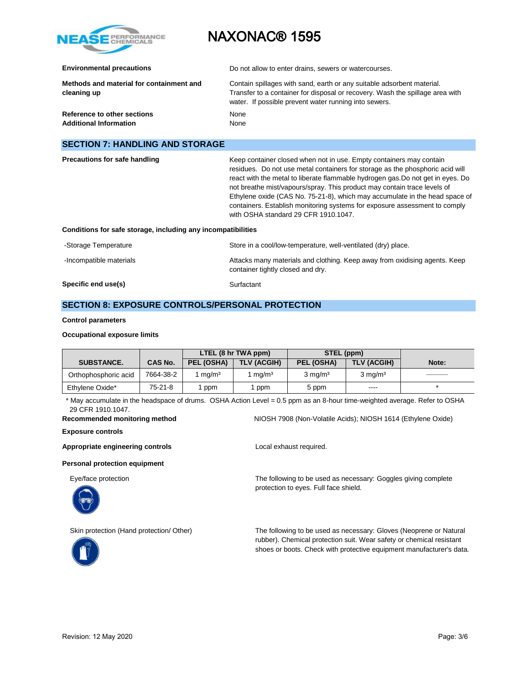

**Environmental precautions Do not allow to enter drains, sewers or watercourses.** 

| Methods and material for containment and<br>cleaning up | Contain spillages with sand, earth or any suitable adsorbent material.<br>Transfer to a container for disposal or recovery. Wash the spillage area with<br>water. If possible prevent water running into sewers. |
|---------------------------------------------------------|------------------------------------------------------------------------------------------------------------------------------------------------------------------------------------------------------------------|
| Reference to other sections                             | None                                                                                                                                                                                                             |
| <b>Additional Information</b>                           | None                                                                                                                                                                                                             |

### **SECTION 7: HANDLING AND STORAGE**

| Precautions for safe handling                                | Keep container closed when not in use. Empty containers may contain<br>residues. Do not use metal containers for storage as the phosphoric acid will<br>react with the metal to liberate flammable hydrogen gas. Do not get in eyes. Do<br>not breathe mist/vapours/spray. This product may contain trace levels of<br>Ethylene oxide (CAS No. 75-21-8), which may accumulate in the head space of<br>containers. Establish monitoring systems for exposure assessment to comply<br>with OSHA standard 29 CFR 1910.1047. |
|--------------------------------------------------------------|--------------------------------------------------------------------------------------------------------------------------------------------------------------------------------------------------------------------------------------------------------------------------------------------------------------------------------------------------------------------------------------------------------------------------------------------------------------------------------------------------------------------------|
| Conditions for safe storage, including any incompatibilities |                                                                                                                                                                                                                                                                                                                                                                                                                                                                                                                          |
| Storage Temperature                                          | Store in a cool/low temperature well ventilated (dry) place                                                                                                                                                                                                                                                                                                                                                                                                                                                              |

| Specific end use(s)     | Surfactant                                                                                                      |
|-------------------------|-----------------------------------------------------------------------------------------------------------------|
| -Incompatible materials | Attacks many materials and clothing. Keep away from oxidising agents. Keep<br>container tightly closed and dry. |
| -Storage Temperature    | Store in a cool/low-temperature, well-ventilated (dry) place.                                                   |

# **SECTION 8: EXPOSURE CONTROLS/PERSONAL PROTECTION**

#### **Control parameters**

#### **Occupational exposure limits**

|                      |           | LTEL (8 hr TWA ppm) |                    | STEL (ppm)         |                    |       |
|----------------------|-----------|---------------------|--------------------|--------------------|--------------------|-------|
| <b>SUBSTANCE.</b>    | CAS No.   | PEL (OSHA)          | <b>TLV (ACGIH)</b> | PEL (OSHA)         | TLV (ACGIH)        | Note: |
| Orthophosphoric acid | 7664-38-2 | 1 ma/mª             | ma/m <sup>3</sup>  | $3 \text{ ma/m}^3$ | $3 \text{ mg/m}^3$ |       |
| Ethylene Oxide*      | $75-21-8$ | ppm                 | ppm                | 5 ppm              | ----               |       |

\* May accumulate in the headspace of drums. OSHA Action Level = 0.5 ppm as an 8-hour time-weighted average. Refer to OSHA 29 CFR 1910.1047.

#### **Recommended monitoring method** NIOSH 7908 (Non-Volatile Acids); NIOSH 1614 (Ethylene Oxide)

**Exposure controls**

#### Appropriate engineering controls **Appropriate engineering controls Local exhaust required.**

#### **Personal protection equipment**

Eye/face protection The following to be used as necessary: Goggles giving complete



protection to eyes. Full face shield.



Skin protection (Hand protection/ Other) The following to be used as necessary: Gloves (Neoprene or Natural rubber). Chemical protection suit. Wear safety or chemical resistant shoes or boots. Check with protective equipment manufacturer's data.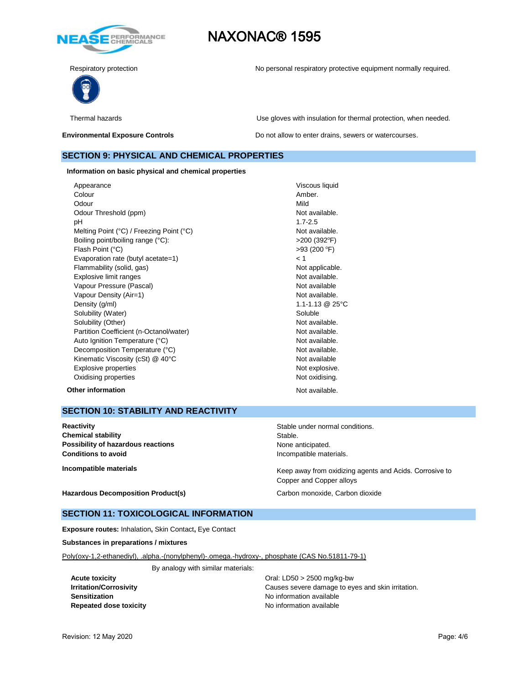

Respiratory protection **No personal respiratory protective equipment normally required.** 



Thermal hazards Use gloves with insulation for thermal protection, when needed.

**Environmental Exposure Controls Exposure Controls Do not allow to enter drains, sewers or watercourses.** 

### **SECTION 9: PHYSICAL AND CHEMICAL PROPERTIES**

**Information on basic physical and chemical properties**

Appearance Viscous liquid Colour **Amber.** Odour Mild Odour Threshold (ppm) Not available. pH 1.7-2.5 Melting Point (°C) / Freezing Point (°C) Not available. Boiling point/boiling range (°C):  $>200 (392^{\circ}F)$ Flash Point (°C) Evaporation rate (butyl acetate=1) < 1 Flammability (solid, gas) Not applicable. Explosive limit ranges Not available. Vapour Pressure (Pascal) Not available Not available Vapour Density (Air=1) Not available. Density (g/ml) 1.1-1.13 @ 25°C Solubility (Water) Soluble Solubility (Other) Not available. Partition Coefficient (n-Octanol/water) Not available. Auto Ignition Temperature (°C) and the control of the Not available. Decomposition Temperature (°C) Not available. Kinematic Viscosity (cSt) @ 40°C Not available Explosive properties **Note 2018** Not explosive. Oxidising properties **Not oxidising.** Not oxidising.

 $>93(200 °F)$ **Other information** Not available.

# **SECTION 10: STABILITY AND REACTIVITY**

**Reactivity Reactivity Reactivity Reactivity Stable under normal conditions. Chemical stability** Stable. **Possibility of hazardous reactions None anticipated.** None anticipated. **Conditions to avoid Incompatible materials.** 

**Incompatible materials Incompatible materials** Messenger Corrosive to Electronic Messenger away from oxidizing agents and Acids. Corrosive to Copper and Copper alloys

**Hazardous Decomposition Product(s)** Carbon monoxide, Carbon dioxide

### **SECTION 11: TOXICOLOGICAL INFORMATION**

**Exposure routes:** Inhalation**,** Skin Contact**,** Eye Contact

**Substances in preparations / mixtures**

Poly(oxy-1,2-ethanediyl), .alpha.-(nonylphenyl)-.omega.-hydroxy-, phosphate (CAS No.51811-79-1)

By analogy with similar materials:

**Sensitization Sensitization No information available Repeated dose toxicity** No information available

**Acute toxicity** Oral: LD50 > 2500 mg/kg-bw **Irritation/Corrosivity Causes severe damage to eyes and skin irritation.**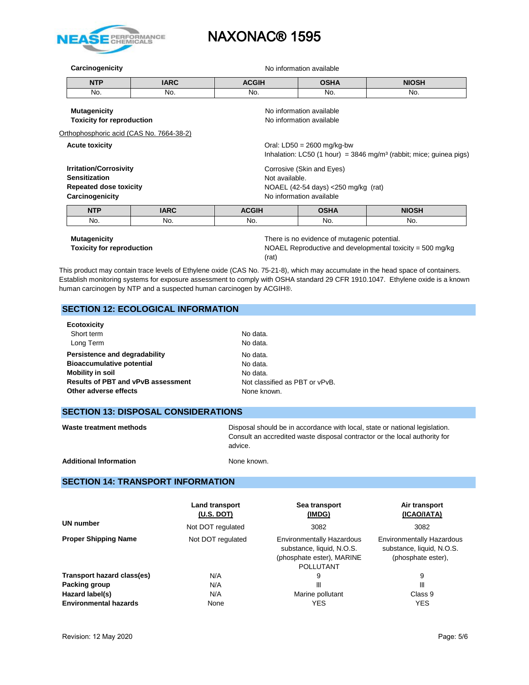

**Carcinogenicity Carcinogenicity No information available** 

| <b>NTP</b> | <b>IARC</b> | <b>ACGIH</b> | <b>OSHA</b> | <b>NIOSH</b> |
|------------|-------------|--------------|-------------|--------------|
| No.        | No.         | No.          | No.         | No.          |

| <b>Mutagenicity</b><br><b>Toxicity for reproduction</b>                                                   |             |                                                                                                                | No information available<br>No information available                                                             |              |  |
|-----------------------------------------------------------------------------------------------------------|-------------|----------------------------------------------------------------------------------------------------------------|------------------------------------------------------------------------------------------------------------------|--------------|--|
| Orthophosphoric acid (CAS No. 7664-38-2)                                                                  |             |                                                                                                                |                                                                                                                  |              |  |
| <b>Acute toxicity</b>                                                                                     |             |                                                                                                                | Oral: $LD50 = 2600$ mg/kg-bw<br>Inhalation: LC50 (1 hour) = $3846$ mg/m <sup>3</sup> (rabbit; mice; quinea pigs) |              |  |
| <b>Irritation/Corrosivity</b><br><b>Sensitization</b><br><b>Repeated dose toxicity</b><br>Carcinogenicity |             | Corrosive (Skin and Eyes)<br>Not available.<br>NOAEL (42-54 days) <250 mg/kg (rat)<br>No information available |                                                                                                                  |              |  |
| <b>NTP</b>                                                                                                | <b>IARC</b> | <b>ACGIH</b>                                                                                                   | <b>OSHA</b>                                                                                                      | <b>NIOSH</b> |  |
| No.                                                                                                       | No.         | No.                                                                                                            | No.                                                                                                              | No.          |  |
| <b>Mutagenicity</b>                                                                                       |             | There is no evidence of mutagenic potential.                                                                   |                                                                                                                  |              |  |

**Toxicity for reproduction** NOAEL Reproductive and developmental toxicity = 500 mg/kg (rat)

This product may contain trace levels of Ethylene oxide (CAS No. 75-21-8), which may accumulate in the head space of containers. Establish monitoring systems for exposure assessment to comply with OSHA standard 29 CFR 1910.1047. Ethylene oxide is a known human carcinogen by NTP and a suspected human carcinogen by ACGIH®.

# **SECTION 12: ECOLOGICAL INFORMATION**

| <b>Ecotoxicity</b>                        |                                |
|-------------------------------------------|--------------------------------|
| Short term                                | No data.                       |
| Long Term                                 | No data.                       |
| Persistence and degradability             | No data.                       |
| <b>Bioaccumulative potential</b>          | No data.                       |
| <b>Mobility in soil</b>                   | No data.                       |
| <b>Results of PBT and vPvB assessment</b> | Not classified as PBT or vPvB. |
| Other adverse effects                     | None known.                    |
|                                           |                                |

# **SECTION 13: DISPOSAL CONSIDERATIONS**

| Waste treatment methods       | Disposal should be in accordance with local, state or national legislation.<br>Consult an accredited waste disposal contractor or the local authority for<br>advice. |
|-------------------------------|----------------------------------------------------------------------------------------------------------------------------------------------------------------------|
| <b>Additional Information</b> | None known.                                                                                                                                                          |

# **SECTION 14: TRANSPORT INFORMATION**

|                              | <b>Land transport</b><br>(U.S. DOT) | Sea transport<br>(IMDG)                                                                                        | Air transport<br>(ICAO/IATA)                                                        |
|------------------------------|-------------------------------------|----------------------------------------------------------------------------------------------------------------|-------------------------------------------------------------------------------------|
| <b>UN number</b>             | Not DOT regulated                   | 3082                                                                                                           | 3082                                                                                |
| <b>Proper Shipping Name</b>  | Not DOT regulated                   | <b>Environmentally Hazardous</b><br>substance, liquid, N.O.S.<br>(phosphate ester), MARINE<br><b>POLLUTANT</b> | <b>Environmentally Hazardous</b><br>substance, liquid, N.O.S.<br>(phosphate ester), |
| Transport hazard class(es)   | N/A                                 | 9                                                                                                              | 9                                                                                   |
| Packing group                | N/A                                 | Ш                                                                                                              | Ш                                                                                   |
| Hazard label(s)              | N/A                                 | Marine pollutant                                                                                               | Class 9                                                                             |
| <b>Environmental hazards</b> | None                                | <b>YES</b>                                                                                                     | <b>YES</b>                                                                          |